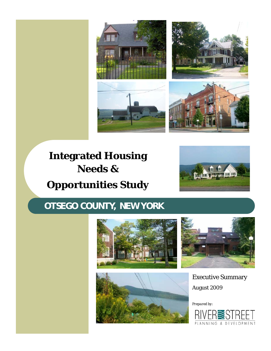

# **Integrated Housing Needs & Opportunities Study**



## **OTSEGO COUNTY, NEW YORK**







Executive Summary August 2009

*Prepared by:* 

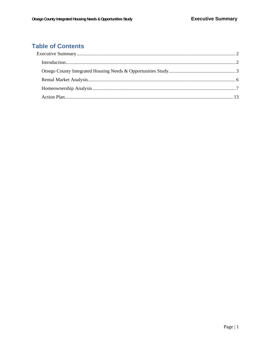### **Table of Contents**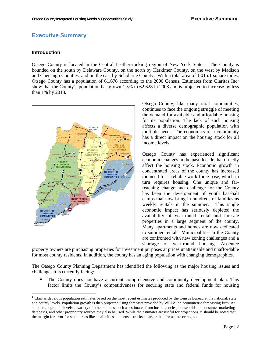#### **Executive Summary**

#### **Introduction**

-

Otsego County is located in the Central Leatherstocking region of New York State. The County is bounded on the south by Delaware County, on the north by Herkimer County, on the west by Madison and Chenango Counties, and on the east by Schoharie County. With a total area of 1,015.1 square miles, Otsego County has a population of 61,676 according to the 2000 Census. Estimates from Claritas  $Inc<sup>1</sup>$ show that the County's population has grown 1.5% to 62,628 in 2008 and is projected to increase by less than 1% by 2013.



Otsego County, like many rural communities, continues to face the ongoing struggle of meeting the demand for available and affordable housing for its population. The lack of such housing affects a diverse demographic population with multiple needs. The economics of a community has a direct impact on the housing stock for all income levels.

Otsego County has experienced significant economic changes in the past decade that directly affect the housing stock. Economic growth in concentrated areas of the county has increased the need for a reliable work force base, which in turn requires housing. One unique and farreaching change and challenge for the County has been the development of youth baseball camps that now bring in hundreds of families as weekly rentals in the summer. This single economic impact has seriously depleted the availability of year-round rental and for-sale properties in a large segment of the county. Many apartments and homes are now dedicated to summer rentals. Municipalities in the County are confronted with new zoning challenges and a shortage of year-round housing. Absentee

property owners are purchasing properties for investment purposes at prices unattainable and unaffordable for most county residents. In addition, the county has an aging population with changing demographics.

The Otsego County Planning Department has identified the following as the major housing issues and challenges it is currently facing:

 The County does not have a current comprehensive and community development plan. This factor limits the County's competitiveness for securing state and federal funds for housing

 $<sup>1</sup>$  Claritas develops population estimates based on the most recent estimates produced by the Census Bureau at the national, state,</sup> and county levels. Population growth is then projected using forecasts provided by WEFA, an econometric forecasting firm. At smaller geographic levels, a variety of other sources, such as estimates from local agencies, household and consumer marketing databases, and other proprietary sources may also be used. While the estimates are useful for projections, it should be noted that the margin for error for small areas like small cities and census tracks is larger than for a state or region.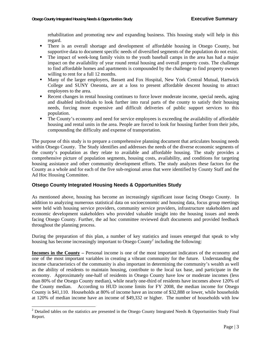rehabilitation and promoting new and expanding business. This housing study will help in this regard.

- There is an overall shortage and development of affordable housing in Otsego County, but supportive data to document specific needs of diversified segments of the population do not exist.
- The impact of week-long family visits to the youth baseball camps in the area has had a major impact on the availability of year round rental housing and overall property costs. The challenge to find affordable homes and apartments is compounded by the challenge to find property owners willing to rent for a full 12 months.
- Many of the larger employers, Bassett and Fox Hospital, New York Central Mutual, Hartwick College and SUNY Oneonta, are at a loss to present affordable descent housing to attract employees to the area.
- Recent changes in rental housing continues to force lower moderate income, special needs, aging and disabled individuals to look further into rural parts of the county to satisfy their housing needs, forcing more expensive and difficult deliveries of public support services to this population.
- The County's economy and need for service employees is exceeding the availability of affordable housing and rental units in the area. People are forced to look for housing further from their jobs, compounding the difficulty and expense of transportation.

The purpose of this study is to prepare a comprehensive planning document that articulates housing needs within Otsego County. The Study identifies and addresses the needs of the diverse economic segments of the county's population as they relate to available and affordable housing. The study provides a comprehensive picture of population segments, housing costs, availability, and conditions for targeting housing assistance and other community development efforts. The study analyzes these factors for the County as a whole and for each of the five sub-regional areas that were identified by County Staff and the Ad Hoc Housing Committee.

#### **Otsego County Integrated Housing Needs & Opportunities Study**

l

As mentioned above, housing has become an increasingly significant issue facing Otsego County. In addition to analyzing numerous statistical data on socioeconomic and housing data, focus group meetings were held with housing service providers, community service providers, infrastructure stakeholders and economic development stakeholders who provided valuable insight into the housing issues and needs facing Otsego County. Further, the ad hoc committee reviewed draft documents and provided feedback throughout the planning process.

During the preparation of this plan, a number of key statistics and issues emerged that speak to why housing has become increasingly important to Otsego County<sup>2</sup> including the following:

**Incomes in the County –** Personal income is one of the most important indicators of the economy and one of the most important variables in creating a vibrant community for the future. Understanding the income characteristics of the community is also important in determining the community's wealth as well as the ability of residents to maintain housing, contribute to the local tax base, and participate in the economy. Approximately one-half of residents in Otsego County have low or moderate incomes (less than 80% of the Otsego County median), while nearly one-third of residents have incomes above 120% of the County median. According to HUD income limits for FY 2008, the median income for Otsego County is \$41,110. Households at 80% of income have an income of \$32,888 or lower, while households at 120% of median income have an income of \$49,332 or higher. The number of households with low

<sup>&</sup>lt;sup>2</sup> Detailed tables on the statistics are presented in the Otsego County Integrated Needs & Opportunities Study Final Report.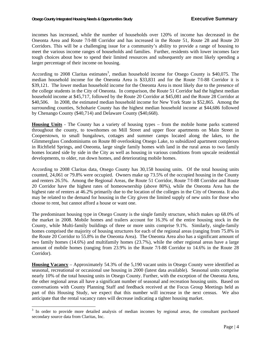incomes has increased, while the number of households over 120% of income has decreased in the Oneonta Area and Route 7/I-88 Corridor and has increased in the Route 51, Route 28 and Route 20 Corridors. This will be a challenging issue for a community's ability to provide a range of housing to meet the various income ranges of households and families. Further, residents with lower incomes face tough choices about how to spend their limited resources and subsequently are most likely spending a larger percentage of their income on housing.

According to 2008 Claritas estimates<sup>3</sup>, median household income for Otsego County is \$40,075. The median household income for the Oneonta Area is \$33,831 and for the Route 7/I-88 Corridor it is \$39,121. The lower median household income for the Oneonta Area is most likely due to the presence of the college students in the City of Oneonta. In comparison, the Route 51 Corridor had the highest median household income at \$45,717, followed by the Route 20 Corridor at \$45,081 and the Route 28 Corridor at \$40,506. In 2008, the estimated median household income for New York State is \$52,865. Among the surrounding counties, Schoharie County has the highest median household income at \$44,686 followed by Chenango County (\$40,714) and Delaware County (\$40,668).

**Housing Units** - The County has a variety of housing types – from the mobile home parks scattered throughout the county, to townhomes on Mill Street and upper floor apartments on Main Street in Cooperstown, to small bungalows, cottages and summer camps located along the lakes, to the Glimmerglass Condominiums on Route 80 overlooking Otsego Lake, to subsidized apartment complexes in Richfield Springs, and Oneonta, large single family homes with land in the rural areas to two family homes located side by side in the City as well as housing in various conditions from upscale residential developments, to older, run down homes, and deteriorating mobile homes.

According to 2008 Claritas data, Otsego County has 30,158 housing units. Of the total housing units counted, 24,061 or 79.8% were occupied. Owners make up 73.5% of the occupied housing in the County and renters 26.5%. Among the Regional Areas, the Route 51 Corridor, Route 7/I-88 Corridor and Route 20 Corridor have the highest rates of homeownership (above 80%), while the Oneonta Area has the highest rate of renters at 46.2% primarily due to the location of the colleges in the City of Oneonta. It also may be related to the demand for housing in the City given the limited supply of new units for those who choose to rent, but cannot afford a house or want one.

The predominant housing type in Otsego County is the single family structure, which makes up 68.0% of the market in 2008. Mobile homes and trailers account for 16.3% of the entire housing stock in the County, while Multi-family buildings of three or more units comprise 9.1%. Similarly, single-family homes comprised the majority of housing structures for each of the regional areas (ranging from 75.8% in the Route 20 Corridor to 55.8% in the Oneonta Area). The Oneonta Area also has a significant amount of two family homes (14.6%) and multifamily homes (23.7%), while the other regional areas have a large amount of mobile homes (ranging from 23.9% in the Route 7/I-88 Corridor to 14.6% in the Route 28 Corridor).

**Housing Vacancy** – Approximately 54.3% of the 5,190 vacant units in Otsego County were identified as seasonal, recreational or occasional use housing in 2000 (latest data available). Seasonal units comprise nearly 10% of the total housing units in Otsego County. Further, with the exception of the Oneonta Area, the other regional areas all have a significant number of seasonal and recreation housing units. Based on conversations with County Planning Staff and feedback received at the Focus Group Meetings held as part of this Housing Study, we expect that this number will increase in the next census. We also anticipate that the rental vacancy rates will decrease indicating a tighter housing market.

<sup>&</sup>lt;sup>3</sup> In order to provide more detailed analysis of median incomes by regional areas, the consultant purchased secondary source data from Claritas, Inc.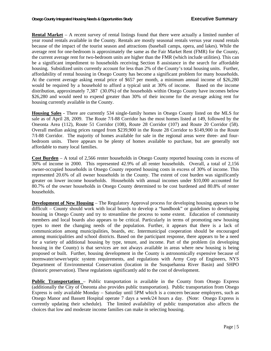**Rental Market** – A recent survey of rental listings found that there were actually a limited number of year round rentals available in the County. Rentals are mostly seasonal rentals versus year round rentals because of the impact of the tourist season and attractions (baseball camps, opera, and lakes). While the average rent for one-bedroom is approximately the same as the Fair Market Rent (FMR) for the County, the current average rent for two-bedroom units are higher than the FMR (which include utilities). This can be a significant impediment to households receiving Section 8 assistance in the search for affordable housing. Subsidized units currently account for less than 2% of the County's total housing units. Further, affordability of rental housing in Otsego County has become a significant problem for many households. At the current average asking rental price of \$657 per month, a minimum annual income of \$26,280 would be required by a household to afford a typical unit at 30% of income. Based on the income distribution, approximately 7,387 (30.0%) of the households within Otsego County have incomes below \$26,280 and would need to expend greater than 30% of their income for the average asking rent for housing currently available in the County.

**Housing Sales -** There are currently 534 single-family homes in Otsego County listed on the MLS for sale as of April 28, 2009. The Route 7/I-88 Corridor has the most homes listed at 149, followed by the Oneonta Area (112), Route 51 Corridor (108), Route 28 Corridor (107) and Route 20 Corridor (58). Overall median asking prices ranged from \$239,900 in the Route 28 Corridor to \$149,900 in the Route 7/I-88 Corridor. The majority of homes available for sale in the regional areas were three- and fourbedroom units. There appears to be plenty of homes available to purchase, but are generally not affordable to many local families.

**Cost Burden** – A total of 2,566 renter households in Otsego County reported housing costs in excess of 30% of income in 2000. This represented 42.9% of all renter households. Overall, a total of 2,156 owner-occupied households in Otsego County reported housing costs in excess of 30% of income. This represented 20.6% of all owner households in the County. The extent of cost burden was significantly greater on lower income households. Households with annual incomes under \$10,000 accounted for 80.7% of the owner households in Otsego County determined to be cost burdened and 80.8% of renter households.

**Development of New Housing** – The Regulatory Approval process for developing housing appears to be difficult – County should work with local boards to develop a "handbook" or guidelines to developing housing in Otsego County and try to streamline the process to some extent. Education of community members and local boards also appears to be critical. Particularly in terms of promoting new housing types to meet the changing needs of the population. Further, it appears that there is a lack of communication among municipalities, boards, etc. Intermunicipal cooperation should be encouraged among municipalities and school districts. Based on the participant response, there appears to be a need for a variety of additional housing by type, tenure, and income. Part of the problem (in developing housing in the County) is that services are not always available in areas where new housing is being proposed or built. Further, housing development in the County is astronomically expensive because of stormwater/sewer/septic system requirements, and regulations with Army Corp of Engineers, NYS Department of Environmental Conservation (location in the Susquehanna River Basin) and SHPO (historic preservation). These regulations significantly add to the cost of development.

**Public Transportation – Public transportation is available in the County from Otsego Express** (additionally the City of Oneonta also provides public transportation). Public transportation from Otsego Express is only available Monday – Saturday until 5PM which is a concern because employers, such as Otsego Manor and Bassett Hospital operate 7 days a week/24 hours a day. (Note: Otsego Express is currently updating their schedule). The limited availability of public transportation also affects the choices that low and moderate income families can make in selecting housing.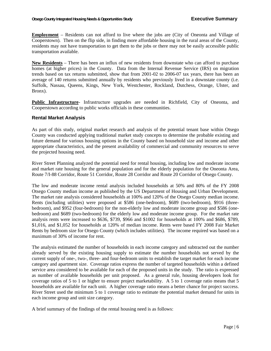**Employment** – Residents can not afford to live where the jobs are (City of Oneonta and Village of Cooperstown). Then on the flip side, in finding more affordable housing in the rural areas of the County, residents may not have transportation to get them to the jobs or there may not be easily accessible public transportation available.

**New Residents** – There has been an influx of new residents from downstate who can afford to purchase homes (at higher prices) in the County. Data from the Internal Revenue Service (IRS) on migration trends based on tax returns submitted, show that from 2001-02 to 2006-07 tax years, there has been an average of 140 returns submitted annually by residents who previously lived in a downstate county (i.e. Suffolk, Nassau, Queens, Kings, New York, Westchester, Rockland, Dutchess, Orange, Ulster, and Bronx).

**Public Infrastructure**- Infrastructure upgrades are needed in Richfield, City of Oneonta, and Cooperstown according to public works officials in these communities.

#### **Rental Market Analysis**

As part of this study, original market research and analysis of the potential tenant base within Otsego County was conducted applying traditional market study concepts to determine the probable existing and future demand for various housing options in the County based on household size and income and other appropriate characteristics, and the present availability of commercial and community resources to serve the projected housing need.

River Street Planning analyzed the potential need for rental housing, including low and moderate income and market rate housing for the general population and for the elderly population for the Oneonta Area, Route 7/I-88 Corridor, Route 51 Corridor, Route 28 Corridor and Route 20 Corridor of Otsego County.

The low and moderate income rental analysis included households at 50% and 80% of the FY 2008 Otsego County median income as published by the US Department of Housing and Urban Development. The market rate analysis considered households at 100% and 120% of the Otsego County median income. Rents (including utilities) were proposed at \$586 (one-bedroom), \$689 (two-bedroom), \$916 (threebedroom), and \$952 (four-bedroom) for the non-elderly low and moderate income group and \$586 (onebedroom) and \$689 (two-bedroom) for the elderly low and moderate income group. For the market rate analysis rents were increased to \$636, \$739, \$966 and \$1002 for households at 100% and \$686, \$789, \$1,016, and \$1,052 for households at 120% of median income. Rents were based FY 2008 Fair Market Rents by bedroom size for Otsego County (which includes utilities). The income required was based on a maximum of 30% of income for rent.

The analysis estimated the number of households in each income category and subtracted out the number already served by the existing housing supply to estimate the number households not served by the current supply of one-, two-, three- and four-bedroom units to establish the target market for each income category and apartment size. Coverage ratios express the number of targeted households within a defined service area considered to be available for each of the proposed units in the study. The ratio is expressed as number of available households per unit proposed. As a general rule, housing developers look for coverage ratios of 5 to 1 or higher to ensure project marketability. A 5 to 1 coverage ratio means that 5 households are available for each unit. A higher coverage ratio means a better chance for project success. River Street used the minimum 5 to 1 coverage ratio to estimate the potential market demand for units in each income group and unit size category.

A brief summary of the findings of the rental housing need is as follows: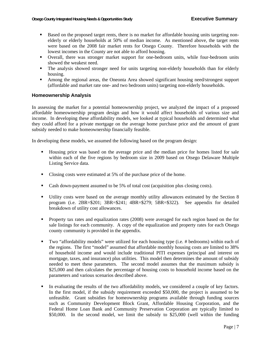- Based on the proposed target rents, there is no market for affordable housing units targeting nonelderly or elderly households at 50% of median income. As mentioned above, the target rents were based on the 2008 fair market rents for Otsego County. Therefore households with the lowest incomes in the County are not able to afford housing.
- Overall, there was stronger market support for one-bedroom units, while four-bedroom units showed the weakest need.
- The analysis showed stronger need for units targeting non-elderly households than for elderly housing.
- Among the regional areas, the Oneonta Area showed significant housing need/strongest support (affordable and market rate one- and two bedroom units) targeting non-elderly households.

#### **Homeownership Analysis**

In assessing the market for a potential homeownership project, we analyzed the impact of a proposed affordable homeownership program design and how it would affect households of various size and income. In developing these affordability models, we looked at typical households and determined what they could afford for a private mortgage on the average home purchase price and the amount of grant subsidy needed to make homeownership financially feasible.

In developing these models, we assumed the following based on the program design:

- Housing price was based on the average price and the median price for homes listed for sale within each of the five regions by bedroom size in 2009 based on Otsego Delaware Multiple Listing Service data.
- Closing costs were estimated at 5% of the purchase price of the home.
- Cash down-payment assumed to be 5% of total cost (acquisition plus closing costs).
- Utility costs were based on the average monthly utility allowances estimated by the Section 8 program (i.e. 2BR=\$201; 3BR=\$241; 4BR=\$279; 5BR=\$322). See appendix for detailed breakdown of utility cost allowances.
- **Property tax rates and equalization rates (2008) were averaged for each region based on the for** sale listings for each community. A copy of the equalization and property rates for each Otsego county community is provided in the appendix.
- Two "affordability models" were utilized for each housing type (i.e. # bedrooms) within each of the regions. The first "model" assumed that affordable monthly housing costs are limited to 38% of household income and would include traditional PITI expenses (principal and interest on mortgage, taxes, and insurance) plus utilities. This model then determines the amount of subsidy needed to meet these parameters. The second model assumes that the maximum subsidy is \$25,000 and then calculates the percentage of housing costs to household income based on the parameters and various scenarios described above.
- In evaluating the results of the two affordability models, we considered a couple of key factors. In the first model, if the subsidy requirement exceeded \$50,000, the project is assumed to be unfeasible. Grant subsidies for homeownership programs available through funding sources such as Community Development Block Grant, Affordable Housing Corporation, and the Federal Home Loan Bank and Community Preservation Corporation are typically limited to \$50,000. In the second model, we limit the subsidy to \$25,000 (well within the funding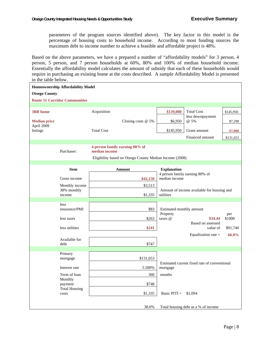parameters of the program sources identified above). The key factor in this model is the percentage of housing costs to household income. According to most funding sources the maximum debt to income number to achieve a feasible and affordable project is 48%.

Based on the above parameters, we have a prepared a number of "affordability models" for 3 person, 4 person, 5 person, and 7 person households at 60%, 80% and 100% of median household income. Essentially the affordability model calculates the amount of subsidy that each of these households would require in purchasing an existing home at the costs described. A sample Affordability Model is presented in the table below.

| <b>Homeownership Affordability Model</b> |                                      |                                                                                                            |                                                         |  |  |  |
|------------------------------------------|--------------------------------------|------------------------------------------------------------------------------------------------------------|---------------------------------------------------------|--|--|--|
| <b>Otsego County</b>                     |                                      |                                                                                                            |                                                         |  |  |  |
|                                          | <b>Route 51 Corridor Communities</b> |                                                                                                            |                                                         |  |  |  |
|                                          |                                      |                                                                                                            |                                                         |  |  |  |
| <b>3BR</b> home                          |                                      | Acquisition                                                                                                | \$139,000<br><b>Total Cost</b><br>\$145,950             |  |  |  |
| <b>Median price</b><br>April 2009        |                                      | Closing costs @ 5%                                                                                         | less downpayment<br>@ 5%<br>\$6,950<br>\$7,298          |  |  |  |
| listings                                 |                                      | <b>Total Cost</b>                                                                                          | \$145,950<br>Grant amount<br>\$7,000                    |  |  |  |
|                                          |                                      |                                                                                                            | Financed amount<br>\$131,653                            |  |  |  |
|                                          | Purchaser:                           | 4 person family earning 80% of<br>median income<br>Eligibility based on Otsego County Median Income (2008) |                                                         |  |  |  |
|                                          | <b>Item</b>                          | <b>Amount</b>                                                                                              | <b>Explanation</b>                                      |  |  |  |
|                                          |                                      |                                                                                                            | 4 person family earning 80% of                          |  |  |  |
|                                          | Gross income                         | \$42,150                                                                                                   | median income                                           |  |  |  |
|                                          | Monthly income                       | \$3,513                                                                                                    |                                                         |  |  |  |
|                                          | 38% monthly<br>income                | \$1,335                                                                                                    | Amount of income available for housing and<br>utilities |  |  |  |
|                                          |                                      |                                                                                                            |                                                         |  |  |  |
|                                          | less                                 |                                                                                                            |                                                         |  |  |  |
|                                          | insurance/PMI                        | \$83                                                                                                       | Estimated monthly amount<br>Property<br>per             |  |  |  |
|                                          | less taxes                           | \$263                                                                                                      | taxes @<br>\$1000<br>\$34.44                            |  |  |  |
|                                          |                                      |                                                                                                            | Based on assessed                                       |  |  |  |
|                                          | less utilities                       | \$241                                                                                                      | value of<br>\$91,740                                    |  |  |  |
|                                          | Available for                        |                                                                                                            | Equalization rate =<br>66.0%                            |  |  |  |
|                                          | debt                                 | \$747                                                                                                      |                                                         |  |  |  |
|                                          |                                      |                                                                                                            |                                                         |  |  |  |
|                                          | Primary<br>mortgage                  | \$131,653                                                                                                  |                                                         |  |  |  |
|                                          |                                      |                                                                                                            | Estimated current fixed rate of conventional            |  |  |  |
|                                          | Interest rate                        | 5.500%                                                                                                     | mortgage                                                |  |  |  |
|                                          | Term of loan                         | 360                                                                                                        | months                                                  |  |  |  |
|                                          | Monthly                              |                                                                                                            |                                                         |  |  |  |
|                                          | payment<br><b>Total Housing</b>      | \$748                                                                                                      |                                                         |  |  |  |
|                                          | costs                                | \$1,335                                                                                                    | Basic $PITI =$<br>\$1,094                               |  |  |  |
|                                          |                                      |                                                                                                            |                                                         |  |  |  |
|                                          |                                      | 38.0%                                                                                                      | Total housing debt as a % of income                     |  |  |  |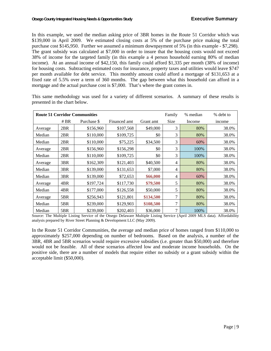In this example, we used the median asking price of 3BR homes in the Route 51 Corridor which was \$139,000 in April 2009. We estimated closing costs at 5% of the purchase price making the total purchase cost \$145,950. Further we assumed a minimum downpayment of 5% (in this example - \$7,298). The grant subsidy was calculated at \$7,000 in order to insure that the housing costs would not exceed 38% of income for the targeted family (in this example a 4 person household earning 80% of median income). At an annual income of \$42,150, this family could afford \$1,335 per month (38% of income) for housing costs. Subtracting estimated costs for insurance, property taxes and utilities would leave \$747 per month available for debt service. This monthly amount could afford a mortgage of \$131,653 at a fixed rate of 5.5% over a term of 360 months. The gap between what this household can afford in a mortgage and the actual purchase cost is \$7,000. That's where the grant comes in.

|         | Family<br>% debt to<br><b>Route 51 Corridor Communities</b><br>% median |             |              |           |                |        |        |  |  |
|---------|-------------------------------------------------------------------------|-------------|--------------|-----------|----------------|--------|--------|--|--|
|         | # BR                                                                    | Purchase \$ | Financed amt | Grant amt | Size           | Income | income |  |  |
| Average | 2BR                                                                     | \$156,960   | \$107,568    | \$49,000  | 3              | 80%    | 38.0%  |  |  |
| Median  | 2BR                                                                     | \$110,000   | \$109,725    | \$0       | 3              | 80%    | 38.0%  |  |  |
| Median  | 2BR                                                                     | \$110,000   | \$75,225     | \$34,500  | 3              | 60%    | 38.0%  |  |  |
| Average | 2BR                                                                     | \$156,960   | \$156,298    | \$0       | 3              | 100%   | 38.0%  |  |  |
| Median  | 2BR                                                                     | \$110,000   | \$109,725    | \$0       | 3              | 100%   | 38.0%  |  |  |
| Average | 3BR                                                                     | \$162,309   | \$121,403    | \$40,500  | 4              | 80%    | 38.0%  |  |  |
| Median  | 3BR                                                                     | \$139,000   | \$131,653    | \$7,000   | 4              | 80%    | 38.0%  |  |  |
| Median  | 3BR                                                                     | \$139,000   | \$72,653     | \$66,000  | 4              | 60%    | 38.0%  |  |  |
| Average | 4BR                                                                     | \$197,724   | \$117,730    | \$79,500  | 5              | 80%    | 38.0%  |  |  |
| Median  | 4BR                                                                     | \$177,000   | \$126,558    | \$50,000  | 5              | 80%    | 38.0%  |  |  |
| Average | 5BR                                                                     | \$256,943   | \$121,801    | \$134,500 | $\overline{7}$ | 80%    | 38.0%  |  |  |
| Median  | 5BR                                                                     | \$239,000   | \$129,903    | \$108,500 | $\overline{7}$ | 80%    | 38.0%  |  |  |
| Median  | 5BR                                                                     | \$239,000   | \$202,403    | \$36,000  | 7              | 100%   | 38.0%  |  |  |

This same methodology was used for a variety of different scenarios. A summary of these results is presented in the chart below.

Source: The Multiple Listing Service of the Otsego Delaware Multiple Listing Service (April 2009 MLS data). Affordability analysis prepared by River Street Planning & Development LLC (May 2009).

In the Route 51 Corridor Communities, the average and median price of homes ranged from \$110,000 to approximately \$257,000 depending on number of bedrooms. Based on the analysis, a number of the 3BR, 4BR and 5BR scenarios would require excessive subsidies (i.e. greater than \$50,000) and therefore would not be feasible. All of these scenarios affected low and moderate income households. On the positive side, there are a number of models that require either no subsidy or a grant subsidy within the acceptable limit (\$50,000).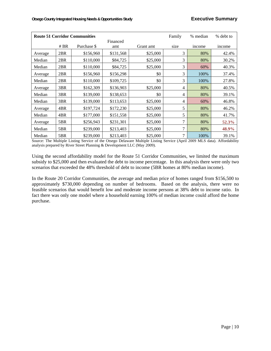| % debt to<br><b>Route 51 Corridor Communities</b><br>Family<br>% median |      |             |           |           |      |        |        |
|-------------------------------------------------------------------------|------|-------------|-----------|-----------|------|--------|--------|
|                                                                         |      |             |           |           |      |        |        |
|                                                                         | # BR | Purchase \$ | amt       | Grant amt | size | income | income |
| Average                                                                 | 2BR  | \$156,960   | \$131,568 | \$25,000  | 3    | 80%    | 42.4%  |
| Median                                                                  | 2BR  | \$110,000   | \$84,725  | \$25,000  | 3    | 80%    | 30.2%  |
| Median                                                                  | 2BR  | \$110,000   | \$84,725  | \$25,000  | 3    | 60%    | 40.3%  |
| Average                                                                 | 2BR  | \$156,960   | \$156,298 | \$0       | 3    | 100%   | 37.4%  |
| Median                                                                  | 2BR  | \$110,000   | \$109,725 | \$0       | 3    | 100%   | 27.8%  |
| Average                                                                 | 3BR  | \$162,309   | \$136,903 | \$25,000  | 4    | 80%    | 40.5%  |
| Median                                                                  | 3BR  | \$139,000   | \$138,653 | \$0       | 4    | 80%    | 39.1%  |
| Median                                                                  | 3BR  | \$139,000   | \$113,653 | \$25,000  | 4    | 60%    | 46.8%  |
| Average                                                                 | 4BR  | \$197,724   | \$172,230 | \$25,000  | 5    | 80%    | 46.2%  |
| Median                                                                  | 4BR  | \$177,000   | \$151,558 | \$25,000  | 5    | 80%    | 41.7%  |
| Average                                                                 | 5BR  | \$256,943   | \$231,301 | \$25,000  | 7    | 80%    | 52.3%  |
| Median                                                                  | 5BR  | \$239,000   | \$213,403 | \$25,000  | 7    | 80%    | 48.9%  |
| Median                                                                  | 5BR  | \$239,000   | \$213,403 | \$25,000  | 7    | 100%   | 39.1%  |

Source: The Multiple Listing Service of the Otsego Delaware Multiple Listing Service (April 2009 MLS data). Affordability analysis prepared by River Street Planning & Development LLC (May 2009).

Using the second affordability model for the Route 51 Corridor Communities, we limited the maximum subsidy to \$25,000 and then evaluated the debt to income percentage. In this analysis there were only two scenarios that exceeded the 48% threshold of debt to income (5BR homes at 80% median income).

In the Route 20 Corridor Communities, the average and median price of homes ranged from \$156,500 to approximately \$730,000 depending on number of bedrooms. Based on the analysis, there were no feasible scenarios that would benefit low and moderate income persons at 38% debt to income ratio. In fact there was only one model where a household earning 100% of median income could afford the home purchase.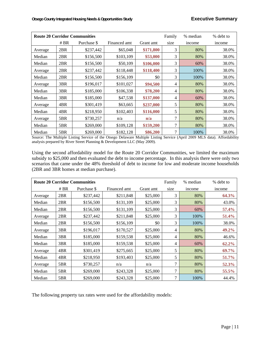| % debt to<br><b>Route 20 Corridor Communities</b><br>Family<br>% median |        |             |              |           |                |        |        |  |
|-------------------------------------------------------------------------|--------|-------------|--------------|-----------|----------------|--------|--------|--|
|                                                                         | # $BR$ | Purchase \$ | Financed amt | Grant amt | size           | income | income |  |
| Average                                                                 | 2BR    | \$237,442   | \$65,048     | \$171,800 | 3              | 80%    | 38.0%  |  |
| Median                                                                  | 2BR    | \$156,500   | \$103,109    | \$53,000  | 3              | 80%    | 38.0%  |  |
| Median                                                                  | 2BR    | \$156,500   | \$50,109     | \$106,000 | 3              | 60%    | 38.0%  |  |
| Average                                                                 | 2BR    | \$237,442   | \$118,448    | \$118,400 | 3              | 100%   | 38.0%  |  |
| Median                                                                  | 2BR    | \$156,500   | \$156,109    | \$0       | 3              | 100%   | 38.0%  |  |
| Average                                                                 | 3BR    | \$196,017   | \$101,027    | \$94,500  | 4              | 80%    | 38.0%  |  |
| Median                                                                  | 3BR    | \$185,000   | \$106,338    | \$78,200  | 4              | 80%    | 38.0%  |  |
| Median                                                                  | 3BR    | \$185,000   | \$47,538     | \$137,000 | 4              | 60%    | 38.0%  |  |
| Average                                                                 | 4BR    | \$301,419   | \$63,665     | \$237,000 | 5              | 80%    | 38.0%  |  |
| Median                                                                  | 4BR    | \$218,950   | \$102,403    | \$116,000 | 5              | 80%    | 38.0%  |  |
| Average                                                                 | 5BR    | \$730,257   | n/a          | n/a       | 7              | 80%    | 38.0%  |  |
| Median                                                                  | 5BR    | \$269,000   | \$109,128    | \$159,200 | $\overline{7}$ | 80%    | 38.0%  |  |
| Median                                                                  | 5BR    | \$269,000   | \$182,128    | \$86,200  | 7              | 100%   | 38.0%  |  |

Source: The Multiple Listing Service of the Otsego Delaware Multiple Listing Service (April 2009 MLS data). Affordability analysis prepared by River Street Planning & Development LLC (May 2009).

Using the second affordability model for the Route 20 Corridor Communities, we limited the maximum subsidy to \$25,000 and then evaluated the debt to income percentage. In this analysis there were only two scenarios that came under the 48% threshold of debt to income for low and moderate income households (2BR and 3BR homes at median purchase).

|         | <b>Route 20 Corridor Communities</b><br>% debt to<br>Family<br>% median |             |              |           |                |        |          |  |  |
|---------|-------------------------------------------------------------------------|-------------|--------------|-----------|----------------|--------|----------|--|--|
|         | # $BR$                                                                  | Purchase \$ | Financed amt | Grant amt | size           | income | income   |  |  |
| Average | 2BR                                                                     | \$237,442   | \$211,848    | \$25,000  | 3              | 80%    | 64.3%    |  |  |
| Median  | 2BR                                                                     | \$156,500   | \$131,109    | \$25,000  | 3              | 80%    | 43.0%    |  |  |
| Median  | 2BR                                                                     | \$156,500   | \$131,109    | \$25,000  | 3              | 60%    | 57.4%    |  |  |
| Average | 2BR                                                                     | \$237,442   | \$211,848    | \$25,000  | 3              | 100%   | 51.4%    |  |  |
| Median  | 2BR                                                                     | \$156,500   | \$156,109    | \$0       | 3              | 100%   | 38.0%    |  |  |
| Average | 3BR                                                                     | \$196,017   | \$170,527    | \$25,000  | 4              | 80%    | 49.2%    |  |  |
| Median  | 3BR                                                                     | \$185,000   | \$159,538    | \$25,000  | 4              | 80%    | 46.6%    |  |  |
| Median  | 3BR                                                                     | \$185,000   | \$159,538    | \$25,000  | 4              | 60%    | $62.2\%$ |  |  |
| Average | 4BR                                                                     | \$301,419   | \$275,665    | \$25,000  | 5              | 80%    | 69.7%    |  |  |
| Median  | 4BR                                                                     | \$218,950   | \$193,403    | \$25,000  | 5              | 80%    | 51.7%    |  |  |
| Average | 5BR                                                                     | \$730,257   | n/a          | n/a       | $\overline{7}$ | 80%    | 52.3%    |  |  |
| Median  | 5BR                                                                     | \$269,000   | \$243,328    | \$25,000  | 7              | 80%    | 55.5%    |  |  |
| Median  | 5BR                                                                     | \$269,000   | \$243,328    | \$25,000  | $\overline{7}$ | 100%   | 44.4%    |  |  |

The following property tax rates were used for the affordability models: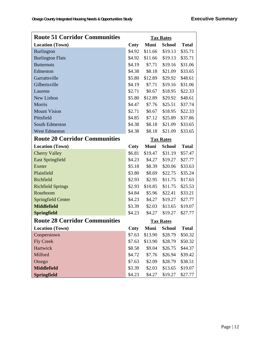| <b>Route 51 Corridor Communities</b> | <b>Tax Rates</b> |             |                  |              |  |
|--------------------------------------|------------------|-------------|------------------|--------------|--|
| <b>Location (Town)</b>               | Cnty             | <b>Muni</b> | <b>School</b>    | <b>Total</b> |  |
| <b>Burlington</b>                    | \$4.92           | \$11.66     | \$19.13          | \$35.71      |  |
| <b>Burlington Flats</b>              | \$4.92           | \$11.66     | \$19.13          | \$35.71      |  |
| <b>Butternuts</b>                    | \$4.19           | \$7.71      | \$19.16          | \$31.06      |  |
| Edmeston                             | \$4.38           | \$8.18      | \$21.09          | \$33.65      |  |
| Garrattsville                        | \$5.80           | \$12.89     | \$29.92          | \$48.61      |  |
| Gilbertsville                        | \$4.19           | \$7.71      | \$19.16          | \$31.06      |  |
| Laurens                              | \$2.71           | \$0.67      | \$18.95          | \$22.33      |  |
| New Lisbon                           | \$5.80           | \$12.89     | \$29.92          | \$48.61      |  |
| Morris                               | \$4.47           | \$7.76      | \$25.51          | \$37.74      |  |
| <b>Mount Vision</b>                  | \$2.71           | \$0.67      | \$18.95          | \$22.33      |  |
| Pittsfield                           | \$4.85           | \$7.12      | \$25.89          | \$37.86      |  |
| South Edmeston                       | \$4.38           | \$8.18      | \$21.09          | \$33.65      |  |
| <b>West Edmeston</b>                 | \$4.38           | \$8.18      | \$21.09          | \$33.65      |  |
| <b>Route 20 Corridor Communities</b> |                  |             | <b>Tax Rates</b> |              |  |
| <b>Location (Town)</b>               | Cnty             | <b>Muni</b> | <b>School</b>    | <b>Total</b> |  |
| <b>Cherry Valley</b>                 | \$6.81           | \$19.47     | \$31.19          | \$57.47      |  |
| <b>East Springfield</b>              | \$4.23           | \$4.27      | \$19.27          | \$27.77      |  |
| Exeter                               | \$5.18           | \$8.39      | \$20.06          | \$33.63      |  |
| Plainfield                           | \$3.80           | \$8.69      | \$22.75          | \$35.24      |  |
| Richfield                            | \$2.93           | \$2.95      | \$11.75          | \$17.63      |  |
| <b>Richfield Springs</b>             | \$2.93           | \$10.85     | \$11.75          | \$25.53      |  |
| Roseboom                             | \$4.84           | \$5.96      | \$22.41          | \$33.21      |  |
| Springfield Center                   | \$4.23           | \$4.27      | \$19.27          | \$27.77      |  |
| <b>Middlefield</b>                   | \$3.39           | \$2.03      | \$13.65          | \$19.07      |  |
| <b>Springfield</b>                   | \$4.23           | \$4.27      | \$19.27          | \$27.77      |  |
| <b>Route 28 Corridor Communities</b> |                  |             | <b>Tax Rates</b> |              |  |
| <b>Location (Town)</b>               | Cnty             | <b>Muni</b> | <b>School</b>    | <b>Total</b> |  |
| Cooperstown                          | \$7.63           | \$13.90     | \$28.79          | \$50.32      |  |
| <b>Fly Creek</b>                     | \$7.63           | \$13.90     | \$28.79          | \$50.32      |  |
| Hartwick                             | \$8.58           | \$9.04      | \$26.75          | \$44.37      |  |
| Milford                              | \$4.72           | \$7.76      | \$26.94          | \$39.42      |  |
| Otsego                               | \$7.63           | \$2.09      | \$28.79          | \$38.51      |  |
| <b>Middlefield</b>                   | \$3.39           | \$2.03      | \$13.65          | \$19.07      |  |
| <b>Springfield</b>                   | \$4.23           | \$4.27      | \$19.27          | \$27.77      |  |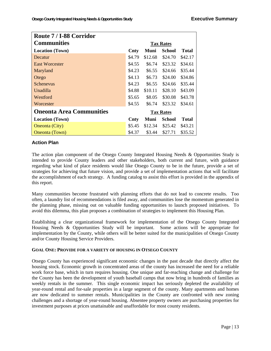| Route 7 / I-88 Corridor         |                  |         |                  |              |  |
|---------------------------------|------------------|---------|------------------|--------------|--|
| <b>Communities</b>              | <b>Tax Rates</b> |         |                  |              |  |
| <b>Location</b> (Town)          | Cnty             | Muni    | <b>School</b>    | <b>Total</b> |  |
| Decatur                         | \$4.79           | \$12.68 | \$24.70          | \$42.17      |  |
| East Worcester                  | \$4.55           | \$6.74  | \$23.32          | \$34.61      |  |
| Maryland                        | \$4.23           | \$6.55  | \$24.66          | \$35.44      |  |
| Otego                           | \$4.13           | \$6.73  | \$24.00          | \$34.86      |  |
| <b>Schenevus</b>                | \$4.23           | \$6.55  | \$24.66          | \$35.44      |  |
| Unadilla                        | \$4.88           | \$10.11 | \$28.10          | \$43.09      |  |
| Westford                        | \$5.65           | \$8.05  | \$30.08          | \$43.78      |  |
| Worcester                       | \$4.55           | \$6.74  | \$23.32          | \$34.61      |  |
| <b>Oneonta Area Communities</b> |                  |         | <b>Tax Rates</b> |              |  |
| <b>Location</b> (Town)          | Cnty             | Muni    | School           | <b>Total</b> |  |
| Oneonta (City)                  | \$5.45           | \$12.34 | \$25.42          | \$43.21      |  |
| <b>Oneonta</b> (Town)           | \$4.37           | \$3.44  | \$27.71          | \$35.52      |  |

#### **Action Plan**

The action plan component of the Otsego County Integrated Housing Needs & Opportunities Study is intended to provide County leaders and other stakeholders, both current and future, with guidance regarding what kind of place residents would like Otsego County to be in the future, provide a set of strategies for achieving that future vision, and provide a set of implementation actions that will facilitate the accomplishment of each strategy. A funding catalog to assist this effort is provided in the appendix of this report.

Many communities become frustrated with planning efforts that do not lead to concrete results. Too often, a laundry list of recommendations is filed away, and communities lose the momentum generated in the planning phase, missing out on valuable funding opportunities to launch proposed initiatives. To avoid this dilemma, this plan proposes a combination of strategies to implement this Housing Plan.

Establishing a clear organizational framework for implementation of the Otsego County Integrated Housing Needs & Opportunities Study will be important. Some actions will be appropriate for implementation by the County, while others will be better suited for the municipalities of Otsego County and/or County Housing Service Providers.

#### **GOAL ONE: PROVIDE FOR A VARIETY OF HOUSING IN OTSEGO COUNTY**

Otsego County has experienced significant economic changes in the past decade that directly affect the housing stock. Economic growth in concentrated areas of the county has increased the need for a reliable work force base, which in turn requires housing. One unique and far-reaching change and challenge for the County has been the development of youth baseball camps that now bring in hundreds of families as weekly rentals in the summer. This single economic impact has seriously depleted the availability of year-round rental and for-sale properties in a large segment of the county. Many apartments and homes are now dedicated to summer rentals. Municipalities in the County are confronted with new zoning challenges and a shortage of year-round housing. Absentee property owners are purchasing properties for investment purposes at prices unattainable and unaffordable for most county residents.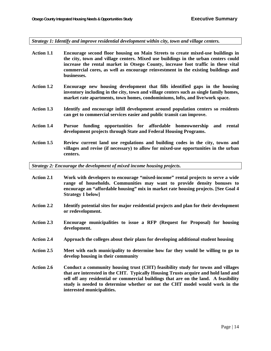*Strategy 1: Identify and improve residential development within city, town and village centers.* 

- **Action 1.1 Encourage second floor housing on Main Streets to create mixed-use buildings in the city, town and village centers. Mixed use buildings in the urban centers could increase the rental market in Otsego County, increase foot traffic in these vital commercial cores, as well as encourage reinvestment in the existing buildings and businesses.**
- **Action 1.2 Encourage new housing development that fills identified gaps in the housing inventory including in the city, town and village centers such as single family homes, market rate apartments, town homes, condominiums, lofts, and live/work space.**
- **Action 1.3 Identify and encourage infill development around population centers so residents can get to commercial services easier and public transit can improve.**
- **Action 1.4 Pursue funding opportunities for affordable homeownership and rental development projects through State and Federal Housing Programs.**
- **Action 1.5 Review current land use regulations and building codes in the city, towns and villages and revise (if necessary) to allow for mixed-use opportunities in the urban centers.**

*Strategy 2: Encourage the development of mixed income housing projects.* 

- **Action 2.1 Work with developers to encourage "mixed-income" rental projects to serve a wide range of households. Communities may want to provide density bonuses to encourage an "affordable housing" mix in market rate housing projects. [See Goal 4 Strategy 1 below]**
- **Action 2.2 Identify potential sites for major residential projects and plan for their development or redevelopment.**
- **Action 2.3 Encourage municipalities to issue a RFP (Request for Proposal) for housing development.**
- **Action 2.4 Approach the colleges about their plans for developing additional student housing**
- **Action 2.5 Meet with each municipality to determine how far they would be willing to go to develop housing in their community**
- **Action 2.6 Conduct a community housing trust (CHT) feasibility study for towns and villages that are interested in the CHT. Typically Housing Trusts acquire and hold land and sell off any residential or commercial buildings that are on the land. A feasibility study is needed to determine whether or not the CHT model would work in the interested municipalities.**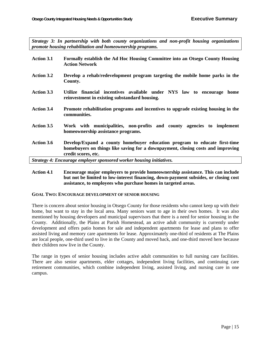*Strategy 3: In partnership with both county organizations and non-profit housing organizations promote housing rehabilitation and homeownership programs.* 

- **Action 3.1 Formally establish the Ad Hoc Housing Committee into an Otsego County Housing Action Network**
- **Action 3.2 Develop a rehab/redevelopment program targeting the mobile home parks in the County.**
- **Action 3.3 Utilize financial incentives available under NYS law to encourage home reinvestment in existing substandard housing.**
- **Action 3.4 Promote rehabilitation programs and incentives to upgrade existing housing in the communities.**
- **Action 3.5 Work with municipalities, non-profits and county agencies to implement homeownership assistance programs.**
- **Action 3.6 Develop/Expand a county homebuyer education program to educate first-time homebuyers on things like saving for a downpayment, closing costs and improving credit scores, etc.**

*Strategy 4: Encourage employer sponsored worker housing initiatives.* 

**Action 4.1 Encourage major employers to provide homeownership assistance. This can include but not be limited to low-interest financing, down-payment subsides, or closing cost assistance, to employees who purchase homes in targeted areas.** 

#### **GOAL TWO: ENCOURAGE DEVELOPMENT OF SENIOR HOUSING**

There is concern about senior housing in Otsego County for those residents who cannot keep up with their home, but want to stay in the local area. Many seniors want to age in their own homes. It was also mentioned by housing developers and municipal supervisors that there is a need for senior housing in the County. Additionally, the Plains at Parish Homestead, an active adult community is currently under development and offers patio homes for sale and independent apartments for lease and plans to offer assisted living and memory care apartments for lease. Approximately one-third of residents at The Plains are local people, one-third used to live in the County and moved back, and one-third moved here because their children now live in the County.

The range in types of senior housing includes active adult communities to full nursing care facilities. There are also senior apartments, elder cottages, independent living facilities, and continuing care retirement communities, which combine independent living, assisted living, and nursing care in one campus.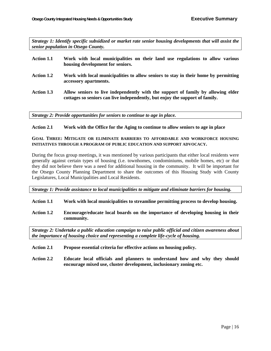*Strategy 1: Identify specific subsidized or market rate senior housing developments that will assist the senior population in Otsego County.* 

#### **Action 1.1 Work with local municipalities on their land use regulations to allow various housing development for seniors.**

- **Action 1.2 Work with local municipalities to allow seniors to stay in their home by permitting accessory apartments.**
- **Action 1.3 Allow seniors to live independently with the support of family by allowing elder cottages so seniors can live independently, but enjoy the support of family.**

*Strategy 2: Provide opportunities for seniors to continue to age in place.* 

#### **Action 2.1 Work with the Office for the Aging to continue to allow seniors to age in place**

#### **GOAL THREE: MITIGATE OR ELIMINATE BARRIERS TO AFFORDABLE AND WORKFORCE HOUSING INITIATIVES THROUGH A PROGRAM OF PUBLIC EDUCATION AND SUPPORT ADVOCACY.**

During the focus group meetings, it was mentioned by various participants that either local residents were generally against certain types of housing (i.e. townhomes, condominiums, mobile homes, etc) or that they did not believe there was a need for additional housing in the community. It will be important for the Otsego County Planning Department to share the outcomes of this Housing Study with County Legislatures, Local Municipalities and Local Residents.

*Strategy 1: Provide assistance to local municipalities to mitigate and eliminate barriers for housing.* 

#### **Action 1.1 Work with local municipalities to streamline permitting process to develop housing.**

**Action 1.2 Encourage/educate local boards on the importance of developing housing in their community.** 

*Strategy 2: Undertake a public education campaign to raise public official and citizen awareness about the importance of housing choice and representing a complete life-cycle of housing.* 

- **Action 2.1 Propose essential criteria for effective actions on housing policy.**
- **Action 2.2 Educate local officials and planners to understand how and why they should encourage mixed use, cluster development, inclusionary zoning etc.**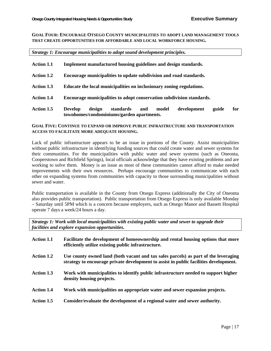#### **GOAL FOUR: ENCOURAGE OTSEGO COUNTY MUNICIPALITIES TO ADOPT LAND MANAGEMENT TOOLS THAT CREATE OPPORTUNITIES FOR AFFORDABLE AND LOCAL WORKFORCE HOUSING.**

*Strategy 1: Encourage municipalities to adopt sound development principles.* 

| <b>Action 1.5</b> | standards<br><b>Develop</b><br>design<br>model<br>development<br>and<br>guide<br>townhomes/condominiums/garden apartments. | for |  |  |  |  |  |  |
|-------------------|----------------------------------------------------------------------------------------------------------------------------|-----|--|--|--|--|--|--|
| <b>Action 1.4</b> | Encourage municipalities to adopt conservation subdivision standards.                                                      |     |  |  |  |  |  |  |
| <b>Action 1.3</b> | Educate the local municipalities on inclusionary zoning regulations.                                                       |     |  |  |  |  |  |  |
| <b>Action 1.2</b> | Encourage municipalities to update subdivision and road standards.                                                         |     |  |  |  |  |  |  |
| <b>Action 1.1</b> | Implement manufactured housing guidelines and design standards.                                                            |     |  |  |  |  |  |  |

#### **GOAL FIVE: CONTINUE TO EXPAND OR IMPROVE PUBLIC INFRASTRUCTURE AND TRANSPORTATION ACCESS TO FACILITATE MORE ADEQUATE HOUSING.**

Lack of public infrastructure appears to be an issue in portions of the County. Assist municipalities without public infrastructure in identifying funding sources that could create water and sewer systems for their communities. For the municipalities with public water and sewer systems (such as Oneonta, Cooperstown and Richfield Springs), local officials acknowledge that they have existing problems and are working to solve them. Money is an issue as most of these communities cannot afford to make needed improvements with their own resources. Perhaps encourage communities to communicate with each other on expanding systems from communities with capacity to those surrounding municipalities without sewer and water.

Public transportation is available in the County from Otsego Express (additionally the City of Oneonta also provides public transportation). Public transportation from Otsego Express is only available Monday – Saturday until 5PM which is a concern because employers, such as Otsego Manor and Bassett Hospital operate 7 days a week/24 hours a day.

*Strategy 1: Work with local municipalities with existing public water and sewer to upgrade their facilities and explore expansion opportunities.* 

| <b>Action 1.1</b> | Facilitate the development of homeownership and rental housing options that more<br>efficiently utilize existing public infrastructure.                                      |
|-------------------|------------------------------------------------------------------------------------------------------------------------------------------------------------------------------|
| <b>Action 1.2</b> | Use county owned land (both vacant and tax sales parcels) as part of the leveraging<br>strategy to encourage private development to assist in public facilities development. |
| <b>Action 1.3</b> | Work with municipalities to identify public infrastructure needed to support higher<br>density housing projects.                                                             |
| <b>Action 1.4</b> | Work with municipalities on appropriate water and sewer expansion projects.                                                                                                  |
| Action 1.5        | Consider/evaluate the development of a regional water and sewer authority.                                                                                                   |